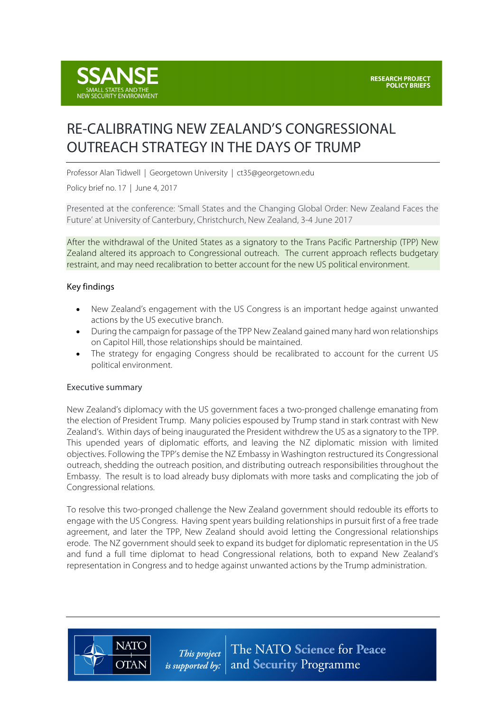

# RE-CALIBRATING NEW ZEALAND'S CONGRESSIONAL OUTREACH STRATEGY IN THE DAYS OF TRUMP

Professor Alan Tidwell | Georgetown University | ct35@georgetown.edu

Policy brief no. 17 | June 4, 2017

Presented at the conference: 'Small States and the Changing Global Order: New Zealand Faces the Future' at University of Canterbury, Christchurch, New Zealand, 3-4 June 2017

After the withdrawal of the United States as a signatory to the Trans Pacific Partnership (TPP) New Zealand altered its approach to Congressional outreach. The current approach reflects budgetary restraint, and may need recalibration to better account for the new US political environment.

## Key findings

- New Zealand's engagement with the US Congress is an important hedge against unwanted actions by the US executive branch.
- During the campaign for passage of the TPP New Zealand gained many hard won relationships on Capitol Hill, those relationships should be maintained.
- The strategy for engaging Congress should be recalibrated to account for the current US political environment.

#### Executive summary

New Zealand's diplomacy with the US government faces a two-pronged challenge emanating from the election of President Trump. Many policies espoused by Trump stand in stark contrast with New Zealand's. Within days of being inaugurated the President withdrew the US as a signatory to the TPP. This upended years of diplomatic efforts, and leaving the NZ diplomatic mission with limited objectives. Following the TPP's demise the NZ Embassy in Washington restructured its Congressional outreach, shedding the outreach position, and distributing outreach responsibilities throughout the Embassy. The result is to load already busy diplomats with more tasks and complicating the job of Congressional relations.

To resolve this two-pronged challenge the New Zealand government should redouble its efforts to engage with the US Congress. Having spent years building relationships in pursuit first of a free trade agreement, and later the TPP, New Zealand should avoid letting the Congressional relationships erode. The NZ government should seek to expand its budget for diplomatic representation in the US and fund a full time diplomat to head Congressional relations, both to expand New Zealand's representation in Congress and to hedge against unwanted actions by the Trump administration.



This project *is supported by:* 

The NATO Science for Peace and Security Programme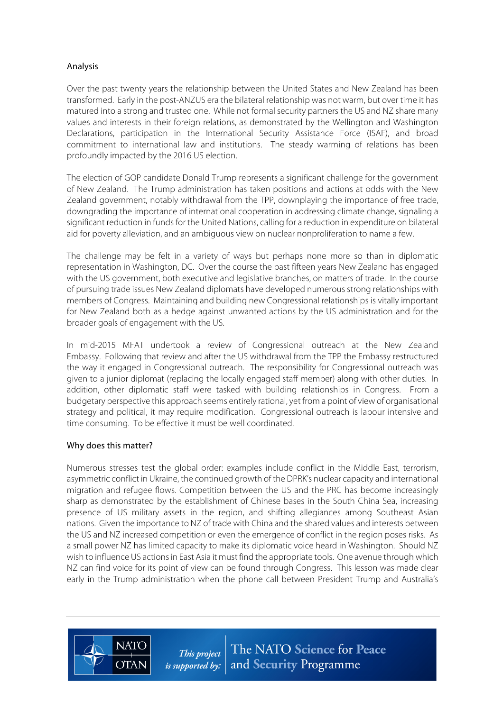# Analysis

Over the past twenty years the relationship between the United States and New Zealand has been transformed. Early in the post-ANZUS era the bilateral relationship was not warm, but over time it has matured into a strong and trusted one. While not formal security partners the US and NZ share many values and interests in their foreign relations, as demonstrated by the Wellington and Washington Declarations, participation in the International Security Assistance Force (ISAF), and broad commitment to international law and institutions. The steady warming of relations has been profoundly impacted by the 2016 US election.

The election of GOP candidate Donald Trump represents a significant challenge for the government of New Zealand. The Trump administration has taken positions and actions at odds with the New Zealand government, notably withdrawal from the TPP, downplaying the importance of free trade, downgrading the importance of international cooperation in addressing climate change, signaling a significant reduction in funds for the United Nations, calling for a reduction in expenditure on bilateral aid for poverty alleviation, and an ambiguous view on nuclear nonproliferation to name a few.

The challenge may be felt in a variety of ways but perhaps none more so than in diplomatic representation in Washington, DC. Over the course the past fifteen years New Zealand has engaged with the US government, both executive and legislative branches, on matters of trade. In the course of pursuing trade issues New Zealand diplomats have developed numerous strong relationships with members of Congress. Maintaining and building new Congressional relationships is vitally important for New Zealand both as a hedge against unwanted actions by the US administration and for the broader goals of engagement with the US.

In mid-2015 MFAT undertook a review of Congressional outreach at the New Zealand Embassy. Following that review and after the US withdrawal from the TPP the Embassy restructured the way it engaged in Congressional outreach. The responsibility for Congressional outreach was given to a junior diplomat (replacing the locally engaged staff member) along with other duties. In addition, other diplomatic staff were tasked with building relationships in Congress. From a budgetary perspective this approach seems entirely rational, yet from a point of view of organisational strategy and political, it may require modification. Congressional outreach is labour intensive and time consuming. To be effective it must be well coordinated.

## Why does this matter?

**NATC** 

**OTAN** 

Numerous stresses test the global order: examples include conflict in the Middle East, terrorism, asymmetric conflict in Ukraine, the continued growth of the DPRK's nuclear capacity and international migration and refugee flows. Competition between the US and the PRC has become increasingly sharp as demonstrated by the establishment of Chinese bases in the South China Sea, increasing presence of US military assets in the region, and shifting allegiances among Southeast Asian nations. Given the importance to NZ of trade with China and the shared values and interests between the US and NZ increased competition or even the emergence of conflict in the region poses risks. As a small power NZ has limited capacity to make its diplomatic voice heard in Washington. Should NZ wish to influence US actions in East Asia it must find the appropriate tools. One avenue through which NZ can find voice for its point of view can be found through Congress. This lesson was made clear early in the Trump administration when the phone call between President Trump and Australia's